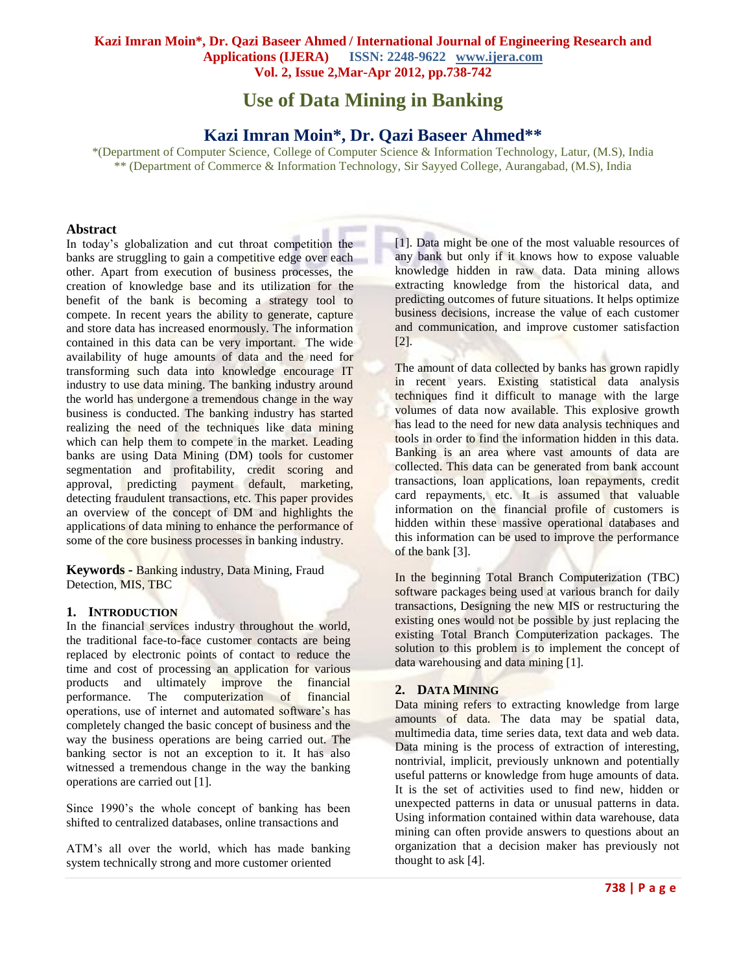**Use of Data Mining in Banking**

# **Kazi Imran Moin\*, Dr. Qazi Baseer Ahmed\*\***

\*(Department of Computer Science, College of Computer Science & Information Technology, Latur, (M.S), India \*\* (Department of Commerce & Information Technology, Sir Sayyed College, Aurangabad, (M.S), India

### **Abstract**

In today"s globalization and cut throat competition the banks are struggling to gain a competitive edge over each other. Apart from execution of business processes, the creation of knowledge base and its utilization for the benefit of the bank is becoming a strategy tool to compete. In recent years the ability to generate, capture and store data has increased enormously. The information contained in this data can be very important. The wide availability of huge amounts of data and the need for transforming such data into knowledge encourage IT industry to use data mining. The banking industry around the world has undergone a tremendous change in the way business is conducted. The banking industry has started realizing the need of the techniques like data mining which can help them to compete in the market. Leading banks are using Data Mining (DM) tools for customer segmentation and profitability, credit scoring and approval, predicting payment default, marketing, detecting fraudulent transactions, etc. This paper provides an overview of the concept of DM and highlights the applications of data mining to enhance the performance of some of the core business processes in banking industry.

**Keywords -** Banking industry, Data Mining, Fraud Detection, MIS, TBC

#### **1. INTRODUCTION**

In the financial services industry throughout the world, the traditional face-to-face customer contacts are being replaced by electronic points of contact to reduce the time and cost of processing an application for various products and ultimately improve the financial performance. The computerization of financial operations, use of internet and automated software"s has completely changed the basic concept of business and the way the business operations are being carried out. The banking sector is not an exception to it. It has also witnessed a tremendous change in the way the banking operations are carried out [1].

Since 1990"s the whole concept of banking has been shifted to centralized databases, online transactions and

ATM"s all over the world, which has made banking system technically strong and more customer oriented

[1]. Data might be one of the most valuable resources of any bank but only if it knows how to expose valuable knowledge hidden in raw data. Data mining allows extracting knowledge from the historical data, and predicting outcomes of future situations. It helps optimize business decisions, increase the value of each customer and communication, and improve customer satisfaction [2].

The amount of data collected by banks has grown rapidly in recent years. Existing statistical data analysis techniques find it difficult to manage with the large volumes of data now available. This explosive growth has lead to the need for new data analysis techniques and tools in order to find the information hidden in this data. Banking is an area where vast amounts of data are collected. This data can be generated from bank account transactions, loan applications, loan repayments, credit card repayments, etc. It is assumed that valuable information on the financial profile of customers is hidden within these massive operational databases and this information can be used to improve the performance of the bank [3].

In the beginning Total Branch Computerization (TBC) software packages being used at various branch for daily transactions, Designing the new MIS or restructuring the existing ones would not be possible by just replacing the existing Total Branch Computerization packages. The solution to this problem is to implement the concept of data warehousing and data mining [1].

# **2. DATA MINING**

Data mining refers to extracting knowledge from large amounts of data. The data may be spatial data, multimedia data, time series data, text data and web data. Data mining is the process of extraction of interesting, nontrivial, implicit, previously unknown and potentially useful patterns or knowledge from huge amounts of data. It is the set of activities used to find new, hidden or unexpected patterns in data or unusual patterns in data. Using information contained within data warehouse, data mining can often provide answers to questions about an organization that a decision maker has previously not thought to ask [4].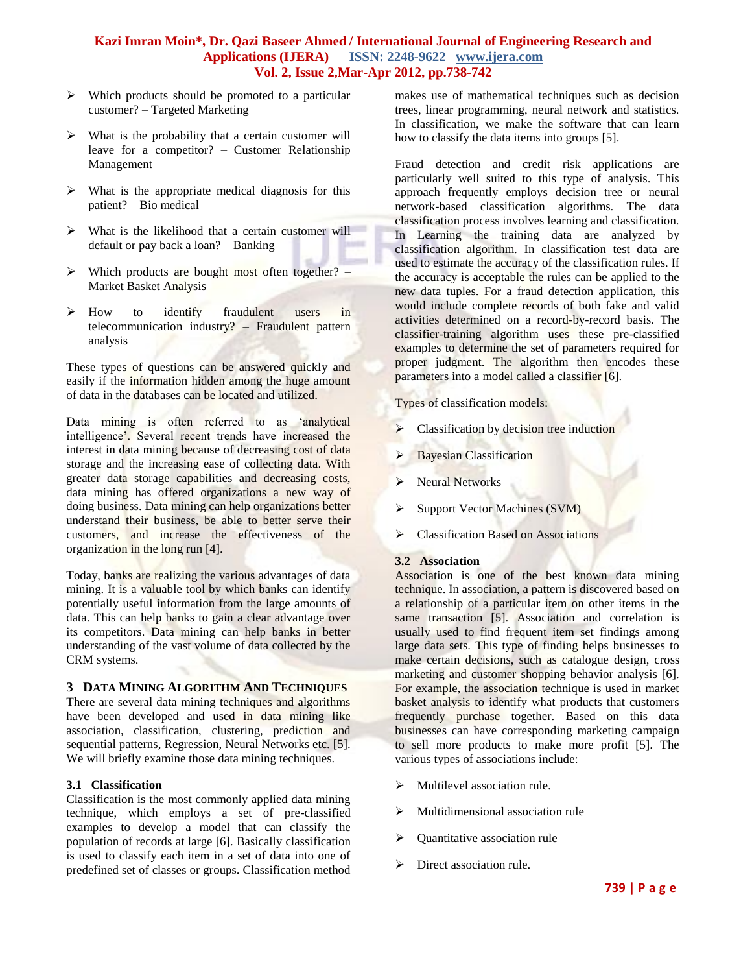- $\triangleright$  Which products should be promoted to a particular customer? – Targeted Marketing
- $\triangleright$  What is the probability that a certain customer will leave for a competitor? – Customer Relationship Management
- $\triangleright$  What is the appropriate medical diagnosis for this patient? – Bio medical
- $\triangleright$  What is the likelihood that a certain customer will default or pay back a loan? – Banking
- $\triangleright$  Which products are bought most often together? Market Basket Analysis
- > How to identify fraudulent users in telecommunication industry? – Fraudulent pattern analysis

These types of questions can be answered quickly and easily if the information hidden among the huge amount of data in the databases can be located and utilized.

Data mining is often referred to as "analytical intelligence'. Several recent trends have increased the interest in data mining because of decreasing cost of data storage and the increasing ease of collecting data. With greater data storage capabilities and decreasing costs, data mining has offered organizations a new way of doing business. Data mining can help organizations better understand their business, be able to better serve their customers, and increase the effectiveness of the organization in the long run [4].

Today, banks are realizing the various advantages of data mining. It is a valuable tool by which banks can identify potentially useful information from the large amounts of data. This can help banks to gain a clear advantage over its competitors. Data mining can help banks in better understanding of the vast volume of data collected by the CRM systems.

### **3 DATA MINING ALGORITHM AND TECHNIQUES**

There are several data mining techniques and algorithms have been developed and used in data mining like association, classification, clustering, prediction and sequential patterns, Regression, Neural Networks etc. [5]. We will briefly examine those data mining techniques.

### **3.1 Classification**

Classification is the most commonly applied data mining technique, which employs a set of pre-classified examples to develop a model that can classify the population of records at large [6]. Basically classification is used to classify each item in a set of data into one of predefined set of classes or groups. Classification method

makes use of mathematical techniques such as decision trees, linear programming, neural network and statistics. In classification, we make the software that can learn how to classify the data items into groups [5].

Fraud detection and credit risk applications are particularly well suited to this type of analysis. This approach frequently employs decision tree or neural network-based classification algorithms. The data classification process involves learning and classification. In Learning the training data are analyzed by classification algorithm. In classification test data are used to estimate the accuracy of the classification rules. If the accuracy is acceptable the rules can be applied to the new data tuples. For a fraud detection application, this would include complete records of both fake and valid activities determined on a record-by-record basis. The classifier-training algorithm uses these pre-classified examples to determine the set of parameters required for proper judgment. The algorithm then encodes these parameters into a model called a classifier [6].

Types of classification models:

- Classification by decision tree induction
- $\triangleright$  Bayesian Classification
- > Neural Networks
- $\triangleright$  Support Vector Machines (SVM)
- Classification Based on Associations

#### **3.2 Association**

Association is one of the best known data mining technique. In association, a pattern is discovered based on a relationship of a particular item on other items in the same transaction [5]. Association and correlation is usually used to find frequent item set findings among large data sets. This type of finding helps businesses to make certain decisions, such as catalogue design, cross marketing and customer shopping behavior analysis [6]. For example, the association technique is used in market basket analysis to identify what products that customers frequently purchase together. Based on this data businesses can have corresponding marketing campaign to sell more products to make more profit [5]. The various types of associations include:

- $\triangleright$  Multilevel association rule.
- $\triangleright$  Multidimensional association rule
- $\triangleright$  Quantitative association rule
- > Direct association rule.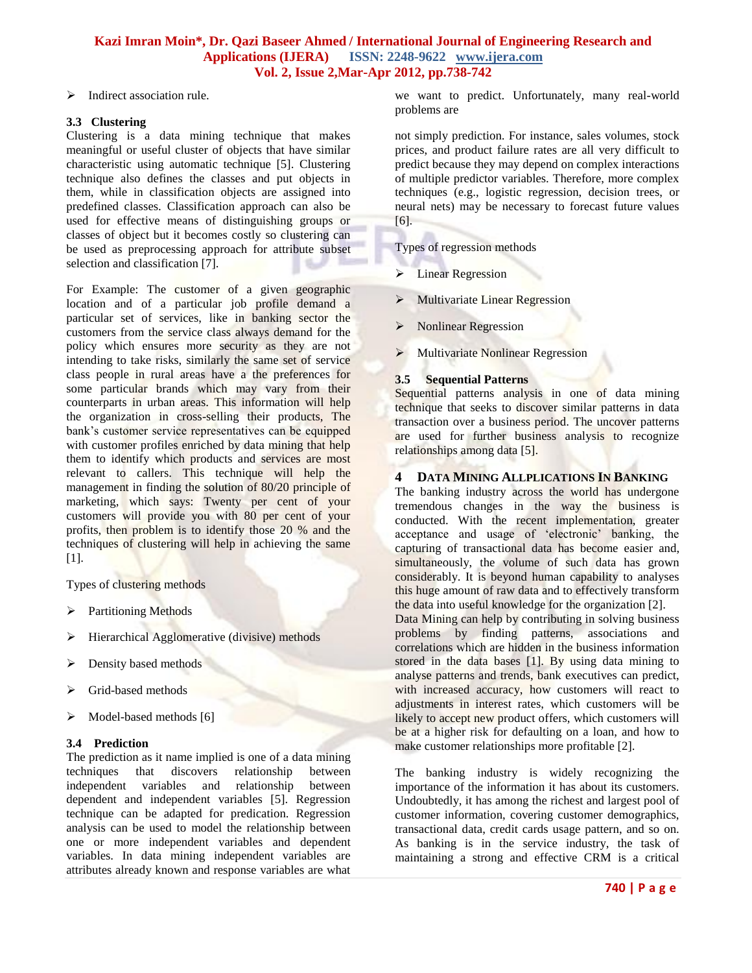$\triangleright$  Indirect association rule.

### **3.3 Clustering**

Clustering is a data mining technique that makes meaningful or useful cluster of objects that have similar characteristic using automatic technique [5]. Clustering technique also defines the classes and put objects in them, while in classification objects are assigned into predefined classes. Classification approach can also be used for effective means of distinguishing groups or classes of object but it becomes costly so clustering can be used as preprocessing approach for attribute subset selection and classification [7].

For Example: The customer of a given geographic location and of a particular job profile demand a particular set of services, like in banking sector the customers from the service class always demand for the policy which ensures more security as they are not intending to take risks, similarly the same set of service class people in rural areas have a the preferences for some particular brands which may vary from their counterparts in urban areas. This information will help the organization in cross-selling their products, The bank"s customer service representatives can be equipped with customer profiles enriched by data mining that help them to identify which products and services are most relevant to callers. This technique will help the management in finding the solution of 80/20 principle of marketing, which says: Twenty per cent of your customers will provide you with 80 per cent of your profits, then problem is to identify those 20 % and the techniques of clustering will help in achieving the same [1].

Types of clustering methods

- $\triangleright$  Partitioning Methods
- $\triangleright$  Hierarchical Agglomerative (divisive) methods
- $\triangleright$  Density based methods
- > Grid-based methods
- $\triangleright$  Model-based methods [6]

# **3.4 Prediction**

The prediction as it name implied is one of a data mining techniques that discovers relationship between independent variables and relationship between dependent and independent variables [5]. Regression technique can be adapted for predication. Regression analysis can be used to model the relationship between one or more independent variables and dependent variables. In data mining independent variables are attributes already known and response variables are what

we want to predict. Unfortunately, many real-world problems are

not simply prediction. For instance, sales volumes, stock prices, and product failure rates are all very difficult to predict because they may depend on complex interactions of multiple predictor variables. Therefore, more complex techniques (e.g., logistic regression, decision trees, or neural nets) may be necessary to forecast future values [6].

Types of regression methods

- > Linear Regression
- $\triangleright$  Multivariate Linear Regression
- > Nonlinear Regression
- Multivariate Nonlinear Regression

# **3.5 Sequential Patterns**

Sequential patterns analysis in one of data mining technique that seeks to discover similar patterns in data transaction over a business period. The uncover patterns are used for further business analysis to recognize relationships among data [5].

### **4 DATA MINING ALLPLICATIONS IN BANKING**

The banking industry across the world has undergone tremendous changes in the way the business is conducted. With the recent implementation, greater acceptance and usage of "electronic" banking, the capturing of transactional data has become easier and, simultaneously, the volume of such data has grown considerably. It is beyond human capability to analyses this huge amount of raw data and to effectively transform the data into useful knowledge for the organization [2].

Data Mining can help by contributing in solving business problems by finding patterns, associations and correlations which are hidden in the business information stored in the data bases [1]. By using data mining to analyse patterns and trends, bank executives can predict, with increased accuracy, how customers will react to adjustments in interest rates, which customers will be likely to accept new product offers, which customers will be at a higher risk for defaulting on a loan, and how to make customer relationships more profitable [2].

The banking industry is widely recognizing the importance of the information it has about its customers. Undoubtedly, it has among the richest and largest pool of customer information, covering customer demographics, transactional data, credit cards usage pattern, and so on. As banking is in the service industry, the task of maintaining a strong and effective CRM is a critical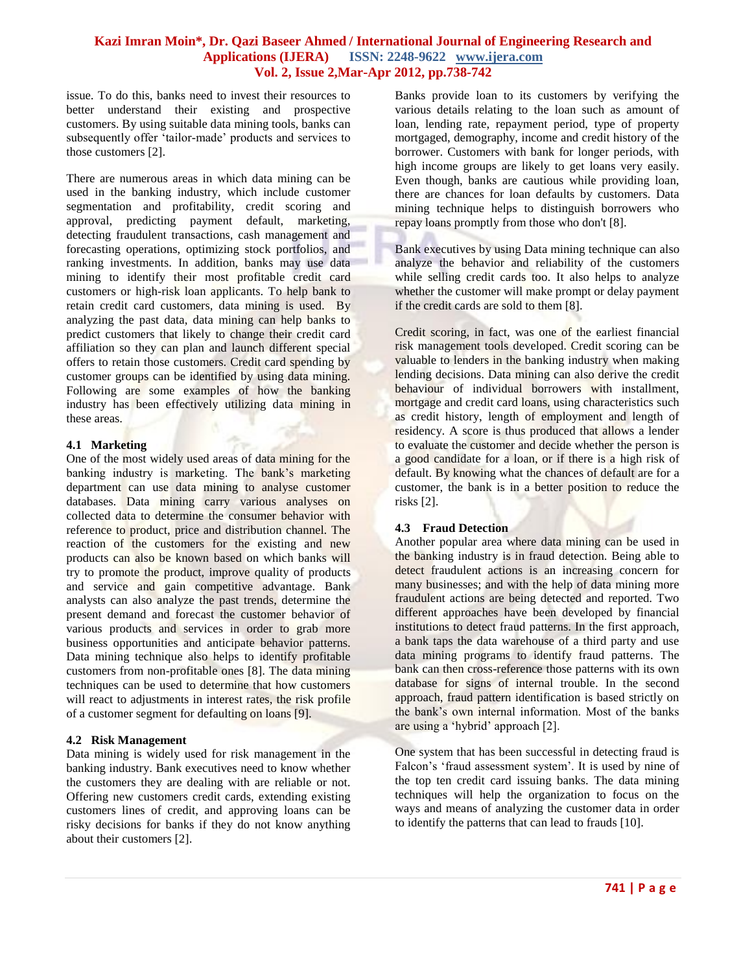issue. To do this, banks need to invest their resources to better understand their existing and prospective customers. By using suitable data mining tools, banks can subsequently offer "tailor-made" products and services to those customers [2].

There are numerous areas in which data mining can be used in the banking industry, which include customer segmentation and profitability, credit scoring and approval, predicting payment default, marketing, detecting fraudulent transactions, cash management and forecasting operations, optimizing stock portfolios, and ranking investments. In addition, banks may use data mining to identify their most profitable credit card customers or high-risk loan applicants. To help bank to retain credit card customers, data mining is used. By analyzing the past data, data mining can help banks to predict customers that likely to change their credit card affiliation so they can plan and launch different special offers to retain those customers. Credit card spending by customer groups can be identified by using data mining. Following are some examples of how the banking industry has been effectively utilizing data mining in these areas.

#### **4.1 Marketing**

One of the most widely used areas of data mining for the banking industry is marketing. The bank's marketing department can use data mining to analyse customer databases. Data mining carry various analyses on collected data to determine the consumer behavior with reference to product, price and distribution channel. The reaction of the customers for the existing and new products can also be known based on which banks will try to promote the product, improve quality of products and service and gain competitive advantage. Bank analysts can also analyze the past trends, determine the present demand and forecast the customer behavior of various products and services in order to grab more business opportunities and anticipate behavior patterns. Data mining technique also helps to identify profitable customers from non-profitable ones [8]. The data mining techniques can be used to determine that how customers will react to adjustments in interest rates, the risk profile of a customer segment for defaulting on loans [9].

# **4.2 Risk Management**

Data mining is widely used for risk management in the banking industry. Bank executives need to know whether the customers they are dealing with are reliable or not. Offering new customers credit cards, extending existing customers lines of credit, and approving loans can be risky decisions for banks if they do not know anything about their customers [2].

Banks provide loan to its customers by verifying the various details relating to the loan such as amount of loan, lending rate, repayment period, type of property mortgaged, demography, income and credit history of the borrower. Customers with bank for longer periods, with high income groups are likely to get loans very easily. Even though, banks are cautious while providing loan, there are chances for loan defaults by customers. Data mining technique helps to distinguish borrowers who repay loans promptly from those who don't [8].

Bank executives by using Data mining technique can also analyze the behavior and reliability of the customers while selling credit cards too. It also helps to analyze whether the customer will make prompt or delay payment if the credit cards are sold to them [8].

Credit scoring, in fact, was one of the earliest financial risk management tools developed. Credit scoring can be valuable to lenders in the banking industry when making lending decisions. Data mining can also derive the credit behaviour of individual borrowers with installment, mortgage and credit card loans, using characteristics such as credit history, length of employment and length of residency. A score is thus produced that allows a lender to evaluate the customer and decide whether the person is a good candidate for a loan, or if there is a high risk of default. By knowing what the chances of default are for a customer, the bank is in a better position to reduce the risks [2].

# **4.3 Fraud Detection**

Another popular area where data mining can be used in the banking industry is in fraud detection. Being able to detect fraudulent actions is an increasing concern for many businesses; and with the help of data mining more fraudulent actions are being detected and reported. Two different approaches have been developed by financial institutions to detect fraud patterns. In the first approach, a bank taps the data warehouse of a third party and use data mining programs to identify fraud patterns. The bank can then cross-reference those patterns with its own database for signs of internal trouble. In the second approach, fraud pattern identification is based strictly on the bank"s own internal information. Most of the banks are using a "hybrid" approach [2].

One system that has been successful in detecting fraud is Falcon's 'fraud assessment system'. It is used by nine of the top ten credit card issuing banks. The data mining techniques will help the organization to focus on the ways and means of analyzing the customer data in order to identify the patterns that can lead to frauds [10].